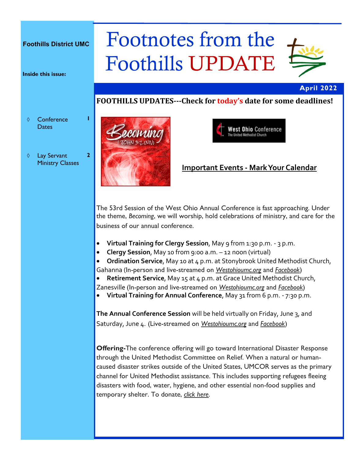#### **Foothills District UMC**

**Inside this issue:**

♦ Conference **Dates** 

**1**

**2**

 Lay Servant Ministry Classes

# Footnotes from the Foothills UPDATE



#### **April 2022**

## **FOOTHILLS UPDATES---Check for today's date for some deadlines!**





## **Important Events - Mark Your Calendar**

The 53rd Session of the West Ohio Annual Conference is fast approaching. Under the theme, *Becoming*, we will worship, hold celebrations of ministry, and care for the business of our annual conference.

- **Virtual Training for Clergy Session**, May 9 from 1:30 p.m. 3 p.m.
- **Clergy Session**, May 10 from 9:00 a.m. 12 noon (virtual)
- **Ordination Service**, May 10 at 4 p.m. at Stonybrook United Methodist Church, Gahanna (In-person and live-streamed on *[Westohioumc.org](https://r20.rs6.net/tn.jsp?f=001iqGL8H2Wh-aoqIwiOJnEfxeT1Id8CSNwaxEGwCusRdCthT9N-2fijdG7sQsH3g00_XQ1-d0Mb7WVf4XbNc9fanDfIJ2bJtrNqgAcngUh_2ehGAorxRiuwb8ZnMZu45BQG8GbuV4yetCcdLPdyQo7Qw==&c=zijWUD-ywbJZml796uiFcnu2jJAorZ_Za4GSezGcdpbWsX1i6lEQsw==&ch=k1GFjXkCoUhm)* and *[Facebook](https://r20.rs6.net/tn.jsp?f=001iqGL8H2Wh-aoqIwiOJnEfxeT1Id8CSNwaxEGwCusRdCthT9N-2fijel3rGH7olHrv2hzpaYPAICsWqmGIKfu2m92kHXbG0OlC5hjYmtcpOCJnhLKGFyBm-MK_R3kB_3PRPYtVE7pxouFreAPWOaTIMx1c9V9m20d&c=zijWUD-ywbJZml796uiFcnu2jJAorZ_Za4GSezGcdpbWsX1i6lEQsw==&ch=k1GF)*)
- **Retirement Service**, May 15 at 4 p.m. at Grace United Methodist Church, Zanesville (In-person and live-streamed on *[Westohioumc.org](https://r20.rs6.net/tn.jsp?f=001iqGL8H2Wh-aoqIwiOJnEfxeT1Id8CSNwaxEGwCusRdCthT9N-2fijdG7sQsH3g00_XQ1-d0Mb7WVf4XbNc9fanDfIJ2bJtrNqgAcngUh_2ehGAorxRiuwb8ZnMZu45BQG8GbuV4yetCcdLPdyQo7Qw==&c=zijWUD-ywbJZml796uiFcnu2jJAorZ_Za4GSezGcdpbWsX1i6lEQsw==&ch=k1GFjXkCoUhm)* and *[Facebook](https://r20.rs6.net/tn.jsp?f=001iqGL8H2Wh-aoqIwiOJnEfxeT1Id8CSNwaxEGwCusRdCthT9N-2fijel3rGH7olHrv2hzpaYPAICsWqmGIKfu2m92kHXbG0OlC5hjYmtcpOCJnhLKGFyBm-MK_R3kB_3PRPYtVE7pxouFreAPWOaTIMx1c9V9m20d&c=zijWUD-ywbJZml796uiFcnu2jJAorZ_Za4GSezGcdpbWsX1i6lEQsw==&ch=k1GF)*)
- **Virtual Training for Annual Conference**, May 31 from 6 p.m. 7:30 p.m.

**The Annual Conference Session** will be held virtually on Friday, June 3, and Saturday, June 4. (Live-streamed on *[Westohioumc.org](https://r20.rs6.net/tn.jsp?f=001iqGL8H2Wh-aoqIwiOJnEfxeT1Id8CSNwaxEGwCusRdCthT9N-2fijdG7sQsH3g00_XQ1-d0Mb7WVf4XbNc9fanDfIJ2bJtrNqgAcngUh_2ehGAorxRiuwb8ZnMZu45BQG8GbuV4yetCcdLPdyQo7Qw==&c=zijWUD-ywbJZml796uiFcnu2jJAorZ_Za4GSezGcdpbWsX1i6lEQsw==&ch=k1GFjXkCoUhm)* and *[Facebook](https://r20.rs6.net/tn.jsp?f=001iqGL8H2Wh-aoqIwiOJnEfxeT1Id8CSNwaxEGwCusRdCthT9N-2fijel3rGH7olHrv2hzpaYPAICsWqmGIKfu2m92kHXbG0OlC5hjYmtcpOCJnhLKGFyBm-MK_R3kB_3PRPYtVE7pxouFreAPWOaTIMx1c9V9m20d&c=zijWUD-ywbJZml796uiFcnu2jJAorZ_Za4GSezGcdpbWsX1i6lEQsw==&ch=k1GF)*)

**Offering-**The conference offering will go toward International Disaster Response through the United Methodist Committee on Relief. When a natural or humancaused disaster strikes outside of the United States, UMCOR serves as the primary channel for United Methodist assistance. This includes supporting refugees fleeing disasters with food, water, hygiene, and other essential non-food supplies and temporary shelter. To donate, *[click here](https://r20.rs6.net/tn.jsp?f=001iqGL8H2Wh-aoqIwiOJnEfxeT1Id8CSNwaxEGwCusRdCthT9N-2fijSqSGV-GIwsdoHMCxM_q0z_7O6nq4GJ8RdGb5AI8wQiEpcxz1yQYl96vXG6Zkgq-yCEl1BZr5WALg6aV0O6B5X8YbOyazYmjXHDJPB_REYK0OSbUJKK0PJOE5ck2Q9u8gA==&c=zijWUD-ywbJZml796uiFcnu2jJAorZ_Za4GSezGc)*.